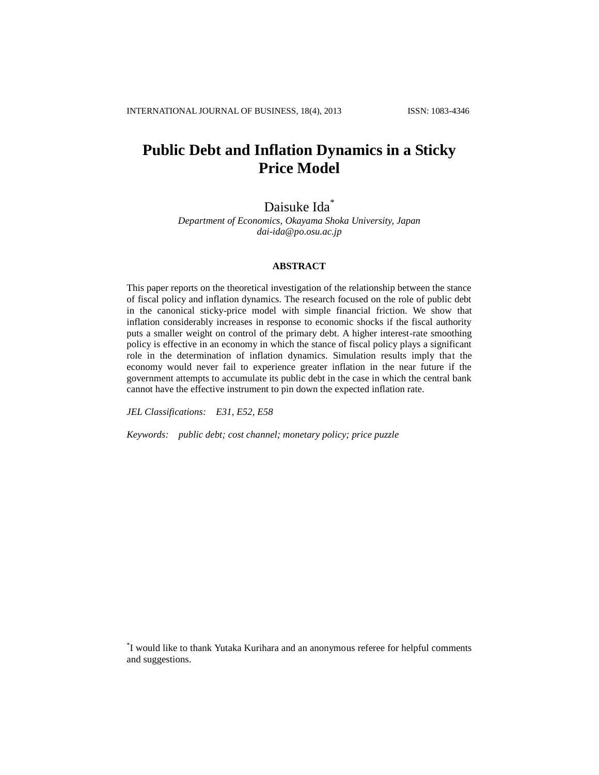# **Public Debt and Inflation Dynamics in a Sticky Price Model**

Daisuke Ida<sup>\*</sup>

*Department of Economics, Okayama Shoka University, Japan dai-ida@po.osu.ac.jp*

# **ABSTRACT**

This paper reports on the theoretical investigation of the relationship between the stance of fiscal policy and inflation dynamics. The research focused on the role of public debt in the canonical sticky-price model with simple financial friction. We show that inflation considerably increases in response to economic shocks if the fiscal authority puts a smaller weight on control of the primary debt. A higher interest-rate smoothing policy is effective in an economy in which the stance of fiscal policy plays a significant role in the determination of inflation dynamics. Simulation results imply that the economy would never fail to experience greater inflation in the near future if the government attempts to accumulate its public debt in the case in which the central bank cannot have the effective instrument to pin down the expected inflation rate.

*JEL Classifications: E31, E52, E58*

*Keywords: public debt; cost channel; monetary policy; price puzzle*

\* I would like to thank Yutaka Kurihara and an anonymous referee for helpful comments and suggestions.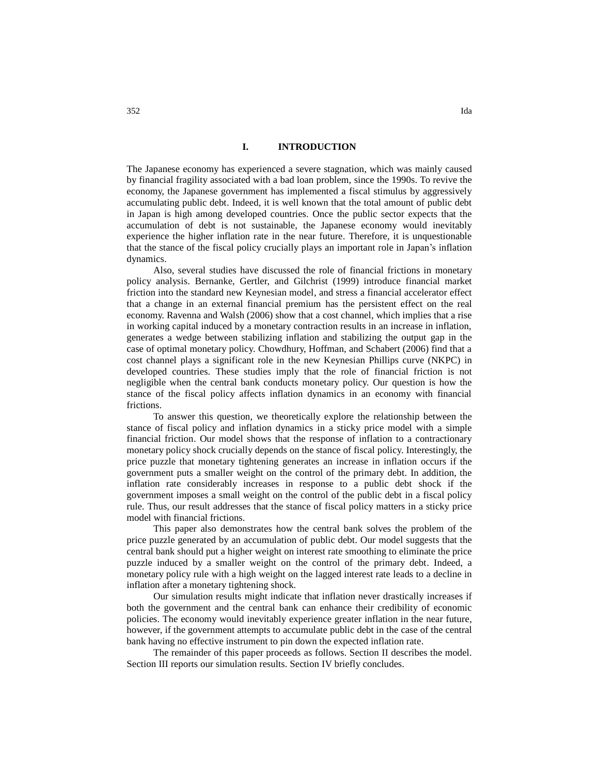## **I. INTRODUCTION**

The Japanese economy has experienced a severe stagnation, which was mainly caused by financial fragility associated with a bad loan problem, since the 1990s. To revive the economy, the Japanese government has implemented a fiscal stimulus by aggressively accumulating public debt. Indeed, it is well known that the total amount of public debt in Japan is high among developed countries. Once the public sector expects that the accumulation of debt is not sustainable, the Japanese economy would inevitably experience the higher inflation rate in the near future. Therefore, it is unquestionable that the stance of the fiscal policy crucially plays an important role in Japan's inflation dynamics.

Also, several studies have discussed the role of financial frictions in monetary policy analysis. Bernanke, Gertler, and Gilchrist (1999) introduce financial market friction into the standard new Keynesian model, and stress a financial accelerator effect that a change in an external financial premium has the persistent effect on the real economy. Ravenna and Walsh (2006) show that a cost channel, which implies that a rise in working capital induced by a monetary contraction results in an increase in inflation, generates a wedge between stabilizing inflation and stabilizing the output gap in the case of optimal monetary policy. Chowdhury, Hoffman, and Schabert (2006) find that a cost channel plays a significant role in the new Keynesian Phillips curve (NKPC) in developed countries. These studies imply that the role of financial friction is not negligible when the central bank conducts monetary policy. Our question is how the stance of the fiscal policy affects inflation dynamics in an economy with financial frictions.

To answer this question, we theoretically explore the relationship between the stance of fiscal policy and inflation dynamics in a sticky price model with a simple financial friction. Our model shows that the response of inflation to a contractionary monetary policy shock crucially depends on the stance of fiscal policy. Interestingly, the price puzzle that monetary tightening generates an increase in inflation occurs if the government puts a smaller weight on the control of the primary debt. In addition, the inflation rate considerably increases in response to a public debt shock if the government imposes a small weight on the control of the public debt in a fiscal policy rule. Thus, our result addresses that the stance of fiscal policy matters in a sticky price model with financial frictions.

This paper also demonstrates how the central bank solves the problem of the price puzzle generated by an accumulation of public debt. Our model suggests that the central bank should put a higher weight on interest rate smoothing to eliminate the price puzzle induced by a smaller weight on the control of the primary debt. Indeed, a monetary policy rule with a high weight on the lagged interest rate leads to a decline in inflation after a monetary tightening shock.

Our simulation results might indicate that inflation never drastically increases if both the government and the central bank can enhance their credibility of economic policies. The economy would inevitably experience greater inflation in the near future, however, if the government attempts to accumulate public debt in the case of the central bank having no effective instrument to pin down the expected inflation rate.

The remainder of this paper proceeds as follows. Section II describes the model. Section III reports our simulation results. Section IV briefly concludes.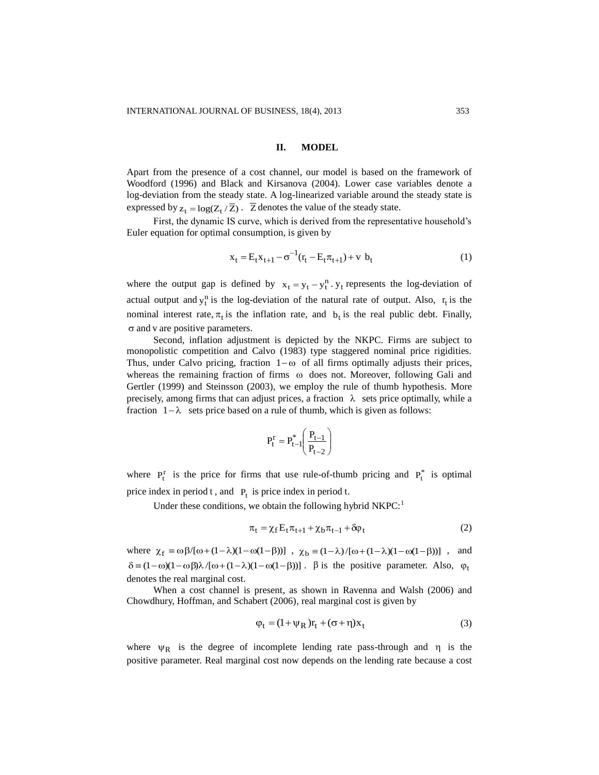#### **II. MODEL**

Apart from the presence of a cost channel, our model is based on the framework of Woodford (1996) and Black and Kirsanova (2004). Lower case variables denote a log-deviation from the steady state. A log-linearized variable around the steady state is expressed by  $z_t = \log(Z_t / \overline{Z})$ .  $\overline{Z}$  denotes the value of the steady state.

First, the dynamic IS curve, which is derived from the representative household's Euler equation for optimal consumption, is given by

$$
x_{t} = E_{t}x_{t+1} - \sigma^{-1}(r_{t} - E_{t}\pi_{t+1}) + v b_{t}
$$
 (1)

where the output gap is defined by  $x_t = y_t - y_t^n \cdot y_t$  represents the log-deviation of actual output and  $y_t^n$  is the log-deviation of the natural rate of output. Also,  $r_t$  is the nominal interest rate,  $\pi_t$  is the inflation rate, and  $b_t$  is the real public debt. Finally,  $\sigma$  and v are positive parameters.

Second, inflation adjustment is depicted by the NKPC. Firms are subject to monopolistic competition and Calvo (1983) type staggered nominal price rigidities. Thus, under Calvo pricing, fraction  $1-\omega$  of all firms optimally adjusts their prices, whereas the remaining fraction of firms  $\omega$  does not. Moreover, following Gali and Gertler (1999) and Steinsson (2003), we employ the rule of thumb hypothesis. More precisely, among firms that can adjust prices, a fraction  $\lambda$  sets price optimally, while a fraction  $1-\lambda$  sets price based on a rule of thumb, which is given as follows:

$$
P_t^r = P_{t-1}^* \left( \frac{P_{t-1}}{P_{t-2}} \right)
$$

where  $P_t^r$  is the price for firms that use rule-of-thumb pricing and  $P_t^*$  is optimal price index in period  $t$ , and  $P_t$  is price index in period  $t$ .

Under these conditions, we obtain the following hybrid  $NKPC<sup>1</sup>$ 

$$
\pi_t = \chi_f E_t \pi_{t+1} + \chi_b \pi_{t-1} + \delta \varphi_t \tag{2}
$$

where  $\chi_f \equiv \omega \beta/[\omega + (1 - \lambda)(1 - \omega(1 - \beta))]$ ,  $\chi_b \equiv (1 - \lambda)/[\omega + (1 - \lambda)(1 - \omega(1 - \beta))]$ , and where  $\chi_f \equiv \omega \beta/[\omega + (1 - \lambda)(1 - \omega(1 - \beta))]$ ,  $\chi_b \equiv (1 - \lambda)/[\omega + (1 - \lambda)(1 - \omega(1 - \beta))]$ , and  $\delta \equiv (1 - \omega)(1 - \omega \beta)\lambda/[\omega + (1 - \lambda)(1 - \omega(1 - \beta))]$ .  $\beta$  is the positive parameter. Also,  $\varphi_1$ denotes the real marginal cost.

When a cost channel is present, as shown in Ravenna and Walsh (2006) and Chowdhury, Hoffman, and Schabert (2006), real marginal cost is given by

$$
\varphi_t = (1 + \psi_R)r_t + (\sigma + \eta)x_t \tag{3}
$$

where  $\psi_R$  is the degree of incomplete lending rate pass-through and  $\eta$  is the positive parameter. Real marginal cost now depends on the lending rate because a cost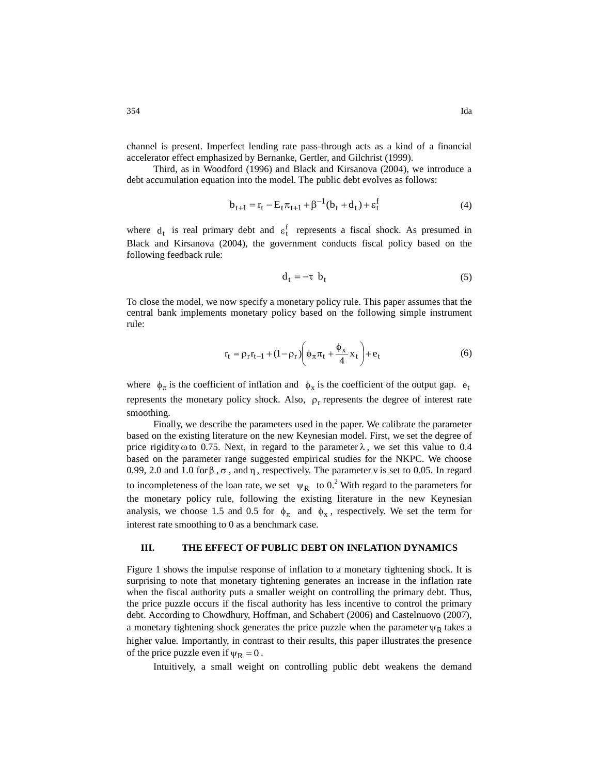channel is present. Imperfect lending rate pass-through acts as a kind of a financial accelerator effect emphasized by Bernanke, Gertler, and Gilchrist (1999).

Third, as in Woodford (1996) and Black and Kirsanova (2004), we introduce a debt accumulation equation into the model. The public debt evolves as follows:

$$
b_{t+1} = r_t - E_t \pi_{t+1} + \beta^{-1} (b_t + d_t) + \varepsilon_t^f
$$
 (4)

where  $d_t$  is real primary debt and  $\epsilon_t^f$  represents a fiscal shock. As presumed in Black and Kirsanova (2004), the government conducts fiscal policy based on the following feedback rule:

$$
d_t = -\tau \ b_t \tag{5}
$$

To close the model, we now specify a monetary policy rule. This paper assumes that the central bank implements monetary policy based on the following simple instrument rule:

$$
\mathbf{r}_{t} = \rho_{\mathbf{r}} \mathbf{r}_{t-1} + (1 - \rho_{\mathbf{r}}) \left( \phi_{\pi} \pi_{t} + \frac{\phi_{x}}{4} \mathbf{x}_{t} \right) + \mathbf{e}_{t}
$$
 (6)

where  $\phi_{\pi}$  is the coefficient of inflation and  $\phi_{x}$  is the coefficient of the output gap.  $e_{t}$ represents the monetary policy shock. Also,  $\rho_r$  represents the degree of interest rate smoothing.

Finally, we describe the parameters used in the paper. We calibrate the parameter based on the existing literature on the new Keynesian model. First, we set the degree of price rigidity  $\omega$  to 0.75. Next, in regard to the parameter  $\lambda$ , we set this value to 0.4 based on the parameter range suggested empirical studies for the NKPC. We choose 0.99, 2.0 and 1.0 for  $\beta$ ,  $\sigma$ , and  $\eta$ , respectively. The parameter v is set to 0.05. In regard to incompleteness of the loan rate, we set  $\psi_R$  to 0.<sup>2</sup> With regard to the parameters for the monetary policy rule, following the existing literature in the new Keynesian analysis, we choose 1.5 and 0.5 for  $\phi_{\pi}$  and  $\phi_{x}$ , respectively. We set the term for interest rate smoothing to 0 as a benchmark case.

### **III. THE EFFECT OF PUBLIC DEBT ON INFLATION DYNAMICS**

Figure 1 shows the impulse response of inflation to a monetary tightening shock. It is surprising to note that monetary tightening generates an increase in the inflation rate when the fiscal authority puts a smaller weight on controlling the primary debt. Thus, the price puzzle occurs if the fiscal authority has less incentive to control the primary debt. According to Chowdhury, Hoffman, and Schabert (2006) and Castelnuovo (2007), a monetary tightening shock generates the price puzzle when the parameter  $\psi_R$  takes a higher value. Importantly, in contrast to their results, this paper illustrates the presence of the price puzzle even if  $\psi_R = 0$ .

Intuitively, a small weight on controlling public debt weakens the demand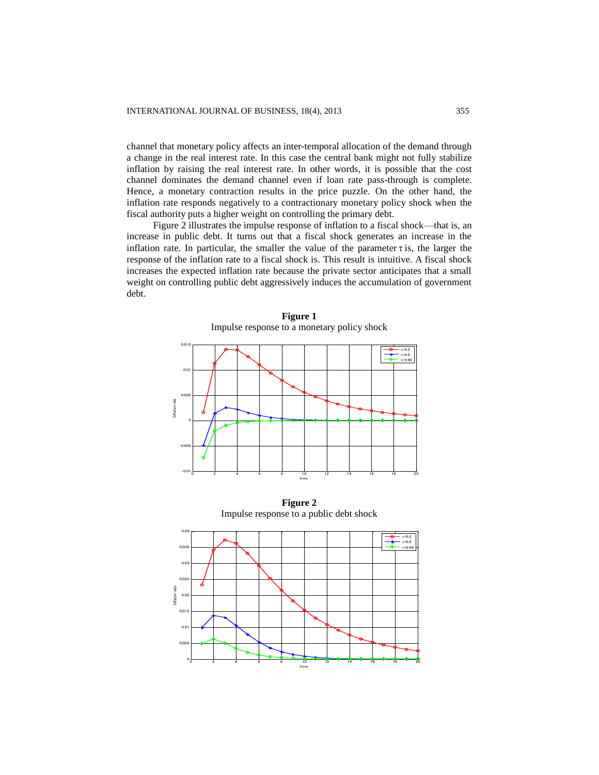channel that monetary policy affects an inter-temporal allocation of the demand through a change in the real interest rate. In this case the central bank might not fully stabilize inflation by raising the real interest rate. In other words, it is possible that the cost channel dominates the demand channel even if loan rate pass-through is complete. Hence, a monetary contraction results in the price puzzle. On the other hand, the inflation rate responds negatively to a contractionary monetary policy shock when the fiscal authority puts a higher weight on controlling the primary debt.

Figure 2 illustrates the impulse response of inflation to a fiscal shock—that is, an increase in public debt. It turns out that a fiscal shock generates an increase in the inflation rate. In particular, the smaller the value of the parameter  $\tau$  is, the larger the response of the inflation rate to a fiscal shock is. This result is intuitive. A fiscal shock increases the expected inflation rate because the private sector anticipates that a small weight on controlling public debt aggressively induces the accumulation of government debt.



**Figure 1** Impulse response to a monetary policy shock

**Figure 2** Impulse response to a public debt shock

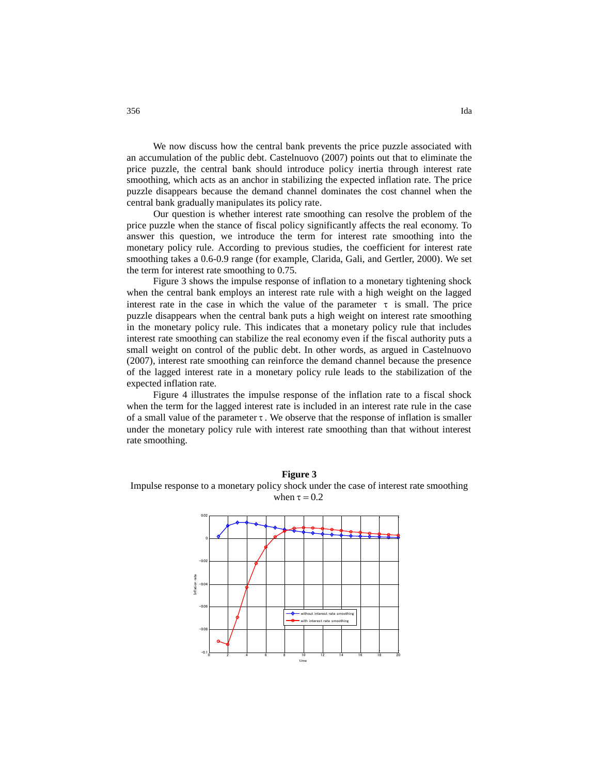We now discuss how the central bank prevents the price puzzle associated with an accumulation of the public debt. Castelnuovo (2007) points out that to eliminate the price puzzle, the central bank should introduce policy inertia through interest rate smoothing, which acts as an anchor in stabilizing the expected inflation rate. The price puzzle disappears because the demand channel dominates the cost channel when the central bank gradually manipulates its policy rate.

Our question is whether interest rate smoothing can resolve the problem of the price puzzle when the stance of fiscal policy significantly affects the real economy. To answer this question, we introduce the term for interest rate smoothing into the monetary policy rule. According to previous studies, the coefficient for interest rate smoothing takes a 0.6-0.9 range (for example, Clarida, Gali, and Gertler, 2000). We set the term for interest rate smoothing to 0.75.

Figure 3 shows the impulse response of inflation to a monetary tightening shock when the central bank employs an interest rate rule with a high weight on the lagged interest rate in the case in which the value of the parameter  $\tau$  is small. The price puzzle disappears when the central bank puts a high weight on interest rate smoothing in the monetary policy rule. This indicates that a monetary policy rule that includes interest rate smoothing can stabilize the real economy even if the fiscal authority puts a small weight on control of the public debt. In other words, as argued in Castelnuovo (2007), interest rate smoothing can reinforce the demand channel because the presence of the lagged interest rate in a monetary policy rule leads to the stabilization of the expected inflation rate.

Figure 4 illustrates the impulse response of the inflation rate to a fiscal shock when the term for the lagged interest rate is included in an interest rate rule in the case of a small value of the parameter  $\tau$ . We observe that the response of inflation is smaller under the monetary policy rule with interest rate smoothing than that without interest rate smoothing.



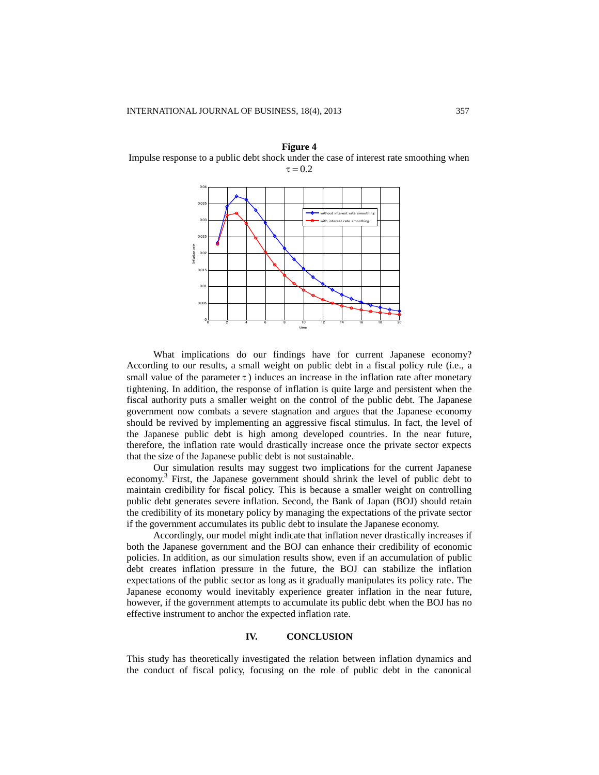**Figure 4** Impulse response to a public debt shock under the case of interest rate smoothing when  $\tau = 0.2$ 



What implications do our findings have for current Japanese economy? According to our results, a small weight on public debt in a fiscal policy rule (i.e., a small value of the parameter  $\tau$ ) induces an increase in the inflation rate after monetary tightening. In addition, the response of inflation is quite large and persistent when the fiscal authority puts a smaller weight on the control of the public debt. The Japanese government now combats a severe stagnation and argues that the Japanese economy should be revived by implementing an aggressive fiscal stimulus. In fact, the level of the Japanese public debt is high among developed countries. In the near future, therefore, the inflation rate would drastically increase once the private sector expects that the size of the Japanese public debt is not sustainable.

Our simulation results may suggest two implications for the current Japanese economy.<sup>3</sup> First, the Japanese government should shrink the level of public debt to maintain credibility for fiscal policy. This is because a smaller weight on controlling public debt generates severe inflation. Second, the Bank of Japan (BOJ) should retain the credibility of its monetary policy by managing the expectations of the private sector if the government accumulates its public debt to insulate the Japanese economy.

Accordingly, our model might indicate that inflation never drastically increases if both the Japanese government and the BOJ can enhance their credibility of economic policies. In addition, as our simulation results show, even if an accumulation of public debt creates inflation pressure in the future, the BOJ can stabilize the inflation expectations of the public sector as long as it gradually manipulates its policy rate. The Japanese economy would inevitably experience greater inflation in the near future, however, if the government attempts to accumulate its public debt when the BOJ has no effective instrument to anchor the expected inflation rate.

#### **IV. CONCLUSION**

This study has theoretically investigated the relation between inflation dynamics and the conduct of fiscal policy, focusing on the role of public debt in the canonical